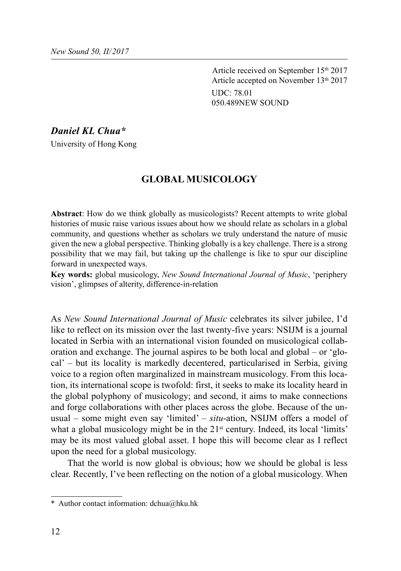Article received on September 15th 2017 Article accepted on November 13th 2017 UDC: 78.01 050.489NEW SOUND

*Daniel KL Chua\**

University of Hong Kong

## **GLOBAL MUSICOLOGY**

**Abstract**: How do we think globally as musicologists? Recent attempts to write global histories of music raise various issues about how we should relate as scholars in a global community, and questions whether as scholars we truly understand the nature of music given the new a global perspective. Thinking globally is a key challenge. There is a strong possibility that we may fail, but taking up the challenge is like to spur our discipline forward in unexpected ways.

**Key words:** global musicology, *New Sound International Journal of Music*, 'periphery vision', glimpses of alterity, difference-in-relation

As *New Sound International Journal of Music* celebrates its silver jubilee, I'd like to reflect on its mission over the last twenty-five years: NSIJM is a journal located in Serbia with an international vision founded on musicological collaboration and exchange. The journal aspires to be both local and global – or 'glocal' – but its locality is markedly decentered, particularised in Serbia, giving voice to a region often marginalized in mainstream musicology. From this location, its international scope is twofold: first, it seeks to make its locality heard in the global polyphony of musicology; and second, it aims to make connections and forge collaborations with other places across the globe. Because of the unusual – some might even say 'limited' – *situ*-ation, NSIJM offers a model of what a global musicology might be in the 21<sup>st</sup> century. Indeed, its local 'limits' may be its most valued global asset. I hope this will become clear as I reflect upon the need for a global musicology.

That the world is now global is obvious; how we should be global is less clear. Recently, I've been reflecting on the notion of a global musicology. When

<sup>\*</sup> Author contact information: dchua@hku.hk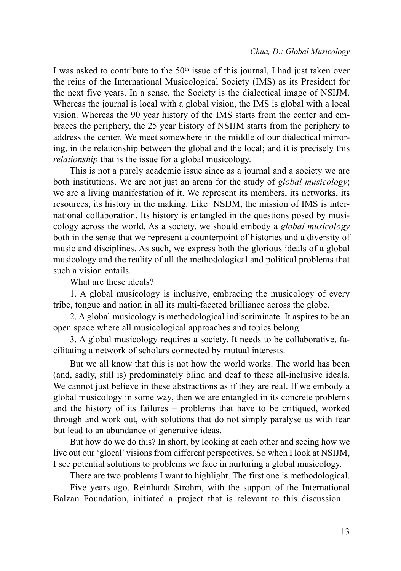I was asked to contribute to the  $50<sup>th</sup>$  issue of this journal, I had just taken over the reins of the International Musicological Society (IMS) as its President for the next five years. In a sense, the Society is the dialectical image of NSIJM. Whereas the journal is local with a global vision, the IMS is global with a local vision. Whereas the 90 year history of the IMS starts from the center and embraces the periphery, the 25 year history of NSIJM starts from the periphery to address the center. We meet somewhere in the middle of our dialectical mirroring, in the relationship between the global and the local; and it is precisely this relationship that is the issue for a global musicology.

This is not a purely academic issue since as a journal and a society we are both institutions. We are not just an arena for the study of *global musicology*; we are a living manifestation of it. We represent its members, its networks, its resources, its history in the making. Like NSIJM, the mission of IMS is international collaboration. Its history is entangled in the questions posed by musicology across the world. As a society, we should embody a global musicology both in the sense that we represent a counterpoint of histories and a diversity of music and disciplines. As such, we express both the glorious ideals of a global musicology and the reality of all the methodological and political problems that such a vision entails.

What are these ideals?

1. A global musicology is inclusive, embracing the musicology of every tribe, tongue and nation in all its multi-faceted brilliance across the globe.

2. A global musicology is methodological indiscriminate. It aspires to be an open space where all musicological approaches and topics belong.

3. A global musicology requires a society. It needs to be collaborative, facilitating a network of scholars connected by mutual interests.

But we all know that this is not how the world works. The world has been (and, sadly, still is) predominately blind and deaf to these all-inclusive ideals. We cannot just believe in these abstractions as if they are real. If we embody a global musicology in some way, then we are entangled in its concrete problems and the history of its failures – problems that have to be critiqued, worked through and work out, with solutions that do not simply paralyse us with fear but lead to an abundance of generative ideas.

But how do we do this? In short, by looking at each other and seeing how we live out our 'glocal' visions from different perspectives. So when I look at NSIJM, I see potential solutions to problems we face in nurturing a global musicology.

There are two problems I want to highlight. The first one is methodological.

Five years ago, Reinhardt Strohm, with the support of the International Balzan Foundation, initiated a project that is relevant to this discussion –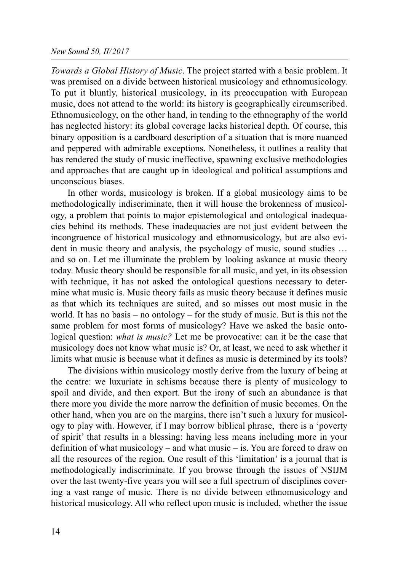## New Sound 50, II/2017

Towards a Global History of Music. The project started with a basic problem. It was premised on a divide between historical musicology and ethnomusicology. To put it bluntly, historical musicology, in its preoccupation with European music, does not attend to the world: its history is geographically circumscribed. Ethnomusicology, on the other hand, in tending to the ethnography of the world has neglected history: its global coverage lacks historical depth. Of course, this binary opposition is a cardboard description of a situation that is more nuanced and peppered with admirable exceptions. Nonetheless, it outlines a reality that has rendered the study of music ineffective, spawning exclusive methodologies and approaches that are caught up in ideological and political assumptions and unconscious biases.

In other words, musicology is broken. If a global musicology aims to be methodologically indiscriminate, then it will house the brokenness of musicology, a problem that points to major epistemological and ontological inadequacies behind its methods. These inadequacies are not just evident between the incongruence of historical musicology and ethnomusicology, but are also evident in music theory and analysis, the psychology of music, sound studies … and so on. Let me illuminate the problem by looking askance at music theory today. Music theory should be responsible for all music, and yet, in its obsession with technique, it has not asked the ontological questions necessary to determine what music is. Music theory fails as music theory because it defines music as that which its techniques are suited, and so misses out most music in the world. It has no basis – no ontology – for the study of music. But is this not the same problem for most forms of musicology? Have we asked the basic ontological question: *what is music*? Let me be provocative: can it be the case that musicology does not know what music is? Or, at least, we need to ask whether it limits what music is because what it defines as music is determined by its tools?

The divisions within musicology mostly derive from the luxury of being at the centre: we luxuriate in schisms because there is plenty of musicology to spoil and divide, and then export. But the irony of such an abundance is that there more you divide the more narrow the definition of music becomes. On the other hand, when you are on the margins, there isn't such a luxury for musicology to play with. However, if I may borrow biblical phrase, there is a 'poverty of spirit' that results in a blessing: having less means including more in your definition of what musicology – and what music – is. You are forced to draw on all the resources of the region. One result of this 'limitation' is a journal that is methodologically indiscriminate. If you browse through the issues of NSIJM over the last twenty-five years you will see a full spectrum of disciplines covering a vast range of music. There is no divide between ethnomusicology and historical musicology. All who reflect upon music is included, whether the issue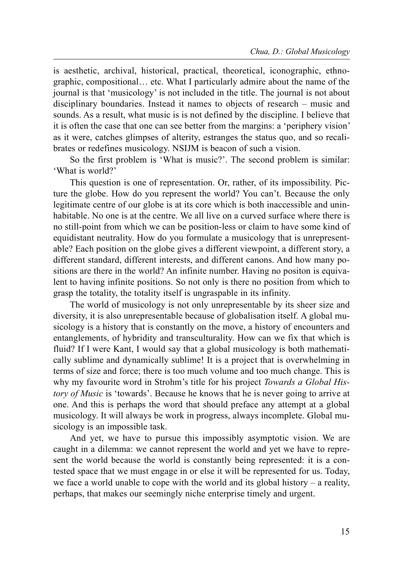is aesthetic, archival, historical, practical, theoretical, iconographic, ethnographic, compositional… etc. What I particularly admire about the name of the journal is that 'musicology' is not included in the title. The journal is not about disciplinary boundaries. Instead it names to objects of research – music and sounds. As a result, what music is is not defined by the discipline. I believe that it is often the case that one can see better from the margins: a 'periphery vision' as it were, catches glimpses of alterity, estranges the status quo, and so recalibrates or redefines musicology. NSIJM is beacon of such a vision.

So the first problem is 'What is music?'. The second problem is similar: 'What is world?'

This question is one of representation. Or, rather, of its impossibility. Picture the globe. How do you represent the world? You can't. Because the only legitimate centre of our globe is at its core which is both inaccessible and uninhabitable. No one is at the centre. We all live on a curved surface where there is no still-point from which we can be position-less or claim to have some kind of equidistant neutrality. How do you formulate a musicology that is unrepresentable? Each position on the globe gives a different viewpoint, a different story, a different standard, different interests, and different canons. And how many positions are there in the world? An infinite number. Having no positon is equivalent to having infinite positions. So not only is there no position from which to grasp the totality, the totality itself is ungraspable in its infinity.

The world of musicology is not only unrepresentable by its sheer size and diversity, it is also unrepresentable because of globalisation itself. A global musicology is a history that is constantly on the move, a history of encounters and entanglements, of hybridity and transculturality. How can we fix that which is fluid? If I were Kant, I would say that a global musicology is both mathematically sublime and dynamically sublime! It is a project that is overwhelming in terms of size and force; there is too much volume and too much change. This is why my favourite word in Strohm's title for his project Towards a Global History of Music is 'towards'. Because he knows that he is never going to arrive at one. And this is perhaps the word that should preface any attempt at a global musicology. It will always be work in progress, always incomplete. Global musicology is an impossible task.

And yet, we have to pursue this impossibly asymptotic vision. We are caught in a dilemma: we cannot represent the world and yet we have to represent the world because the world is constantly being represented: it is a contested space that we must engage in or else it will be represented for us. Today, we face a world unable to cope with the world and its global history – a reality, perhaps, that makes our seemingly niche enterprise timely and urgent.